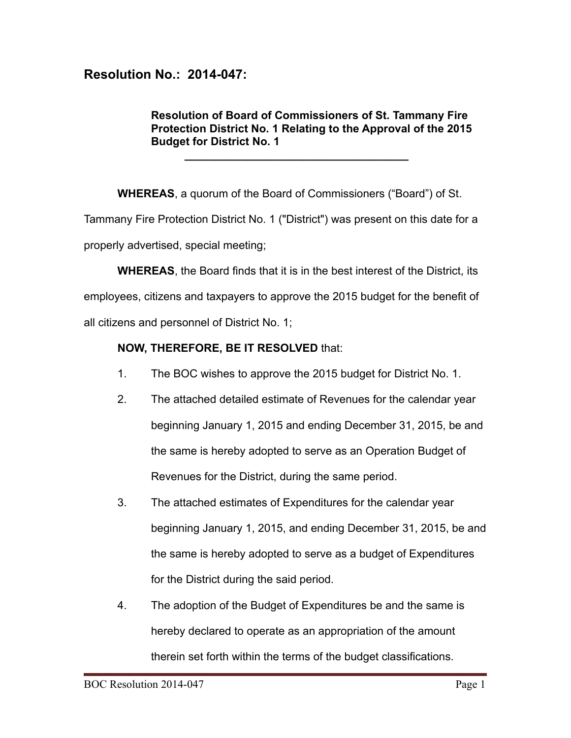## **Resolution No.: 2014-047:**

## **Resolution of Board of Commissioners of St. Tammany Fire Protection District No. 1 Relating to the Approval of the 2015 Budget for District No. 1**

**WHEREAS**, a quorum of the Board of Commissioners ("Board") of St. Tammany Fire Protection District No. 1 ("District") was present on this date for a properly advertised, special meeting;

**\_\_\_\_\_\_\_\_\_\_\_\_\_\_\_\_\_\_\_\_\_\_\_\_\_\_\_\_\_\_\_\_\_\_\_\_**

**WHEREAS**, the Board finds that it is in the best interest of the District, its employees, citizens and taxpayers to approve the 2015 budget for the benefit of all citizens and personnel of District No. 1;

## **NOW, THEREFORE, BE IT RESOLVED** that:

- 1. The BOC wishes to approve the 2015 budget for District No. 1.
- 2. The attached detailed estimate of Revenues for the calendar year beginning January 1, 2015 and ending December 31, 2015, be and the same is hereby adopted to serve as an Operation Budget of Revenues for the District, during the same period.
- 3. The attached estimates of Expenditures for the calendar year beginning January 1, 2015, and ending December 31, 2015, be and the same is hereby adopted to serve as a budget of Expenditures for the District during the said period.
- 4. The adoption of the Budget of Expenditures be and the same is hereby declared to operate as an appropriation of the amount therein set forth within the terms of the budget classifications.